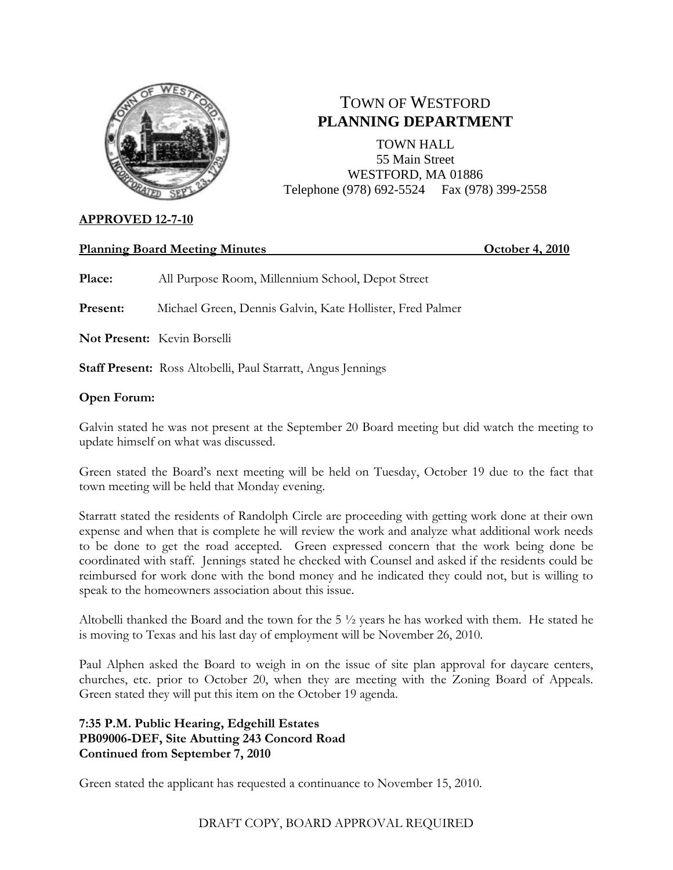

# TOWN OF WESTFORD **PLANNING DEPARTMENT**

TOWN HALL 55 Main Street WESTFORD, MA 01886 Telephone (978) 692-5524 Fax (978) 399-2558

# **APPROVED 12-7-10**

# **Planning Board Meeting Minutes October 4, 2010**

**Place:** All Purpose Room, Millennium School, Depot Street

**Present:** Michael Green, Dennis Galvin, Kate Hollister, Fred Palmer

**Not Present:** Kevin Borselli

**Staff Present:** Ross Altobelli, Paul Starratt, Angus Jennings

## **Open Forum:**

Galvin stated he was not present at the September 20 Board meeting but did watch the meeting to update himself on what was discussed.

Green stated the Board's next meeting will be held on Tuesday, October 19 due to the fact that town meeting will be held that Monday evening.

Starratt stated the residents of Randolph Circle are proceeding with getting work done at their own expense and when that is complete he will review the work and analyze what additional work needs to be done to get the road accepted. Green expressed concern that the work being done be coordinated with staff. Jennings stated he checked with Counsel and asked if the residents could be reimbursed for work done with the bond money and he indicated they could not, but is willing to speak to the homeowners association about this issue.

Altobelli thanked the Board and the town for the 5 ½ years he has worked with them. He stated he is moving to Texas and his last day of employment will be November 26, 2010.

Paul Alphen asked the Board to weigh in on the issue of site plan approval for daycare centers, churches, etc. prior to October 20, when they are meeting with the Zoning Board of Appeals. Green stated they will put this item on the October 19 agenda.

## **7:35 P.M. Public Hearing, Edgehill Estates PB09006-DEF, Site Abutting 243 Concord Road Continued from September 7, 2010**

Green stated the applicant has requested a continuance to November 15, 2010.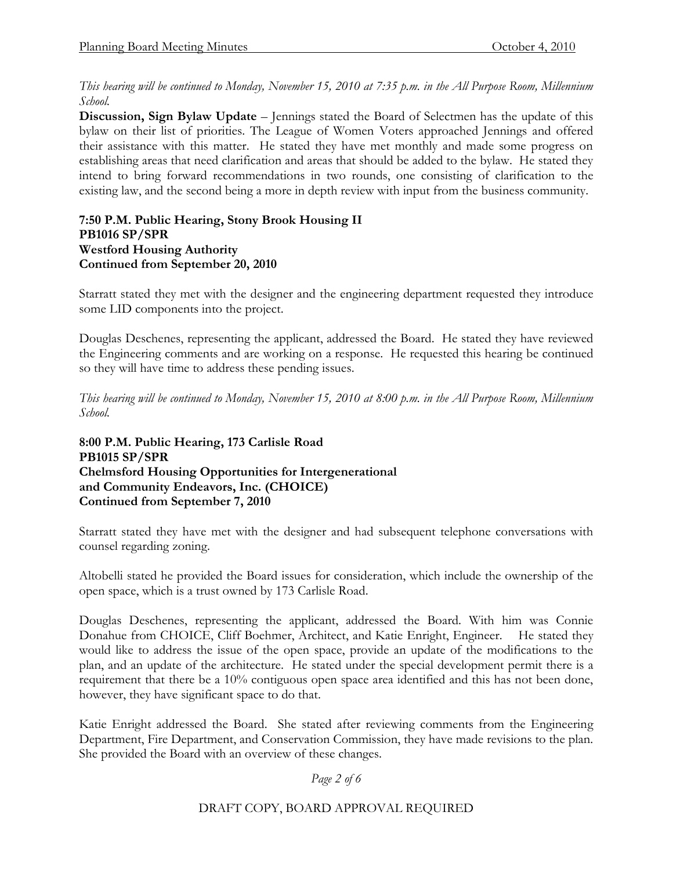*This hearing will be continued to Monday, November 15, 2010 at 7:35 p.m. in the All Purpose Room, Millennium School.* 

**Discussion, Sign Bylaw Update** – Jennings stated the Board of Selectmen has the update of this bylaw on their list of priorities. The League of Women Voters approached Jennings and offered their assistance with this matter. He stated they have met monthly and made some progress on establishing areas that need clarification and areas that should be added to the bylaw. He stated they intend to bring forward recommendations in two rounds, one consisting of clarification to the existing law, and the second being a more in depth review with input from the business community.

#### **7:50 P.M. Public Hearing, Stony Brook Housing II PB1016 SP/SPR Westford Housing Authority Continued from September 20, 2010**

Starratt stated they met with the designer and the engineering department requested they introduce some LID components into the project.

Douglas Deschenes, representing the applicant, addressed the Board. He stated they have reviewed the Engineering comments and are working on a response. He requested this hearing be continued so they will have time to address these pending issues.

*This hearing will be continued to Monday, November 15, 2010 at 8:00 p.m. in the All Purpose Room, Millennium School.* 

## **8:00 P.M. Public Hearing, 173 Carlisle Road PB1015 SP/SPR Chelmsford Housing Opportunities for Intergenerational and Community Endeavors, Inc. (CHOICE) Continued from September 7, 2010**

Starratt stated they have met with the designer and had subsequent telephone conversations with counsel regarding zoning.

Altobelli stated he provided the Board issues for consideration, which include the ownership of the open space, which is a trust owned by 173 Carlisle Road.

Douglas Deschenes, representing the applicant, addressed the Board. With him was Connie Donahue from CHOICE, Cliff Boehmer, Architect, and Katie Enright, Engineer. He stated they would like to address the issue of the open space, provide an update of the modifications to the plan, and an update of the architecture. He stated under the special development permit there is a requirement that there be a 10% contiguous open space area identified and this has not been done, however, they have significant space to do that.

Katie Enright addressed the Board. She stated after reviewing comments from the Engineering Department, Fire Department, and Conservation Commission, they have made revisions to the plan. She provided the Board with an overview of these changes.

*Page 2 of 6*

DRAFT COPY, BOARD APPROVAL REQUIRED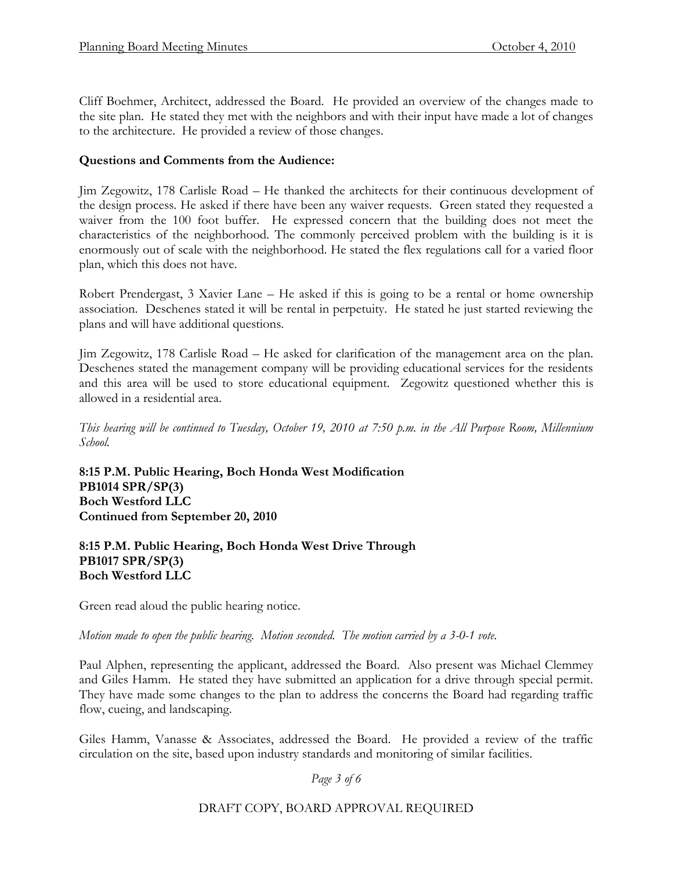Cliff Boehmer, Architect, addressed the Board. He provided an overview of the changes made to the site plan. He stated they met with the neighbors and with their input have made a lot of changes to the architecture. He provided a review of those changes.

## **Questions and Comments from the Audience:**

Jim Zegowitz, 178 Carlisle Road – He thanked the architects for their continuous development of the design process. He asked if there have been any waiver requests. Green stated they requested a waiver from the 100 foot buffer. He expressed concern that the building does not meet the characteristics of the neighborhood. The commonly perceived problem with the building is it is enormously out of scale with the neighborhood. He stated the flex regulations call for a varied floor plan, which this does not have.

Robert Prendergast, 3 Xavier Lane – He asked if this is going to be a rental or home ownership association. Deschenes stated it will be rental in perpetuity. He stated he just started reviewing the plans and will have additional questions.

Jim Zegowitz, 178 Carlisle Road – He asked for clarification of the management area on the plan. Deschenes stated the management company will be providing educational services for the residents and this area will be used to store educational equipment. Zegowitz questioned whether this is allowed in a residential area.

*This hearing will be continued to Tuesday, October 19, 2010 at 7:50 p.m. in the All Purpose Room, Millennium School.* 

**8:15 P.M. Public Hearing, Boch Honda West Modification PB1014 SPR/SP(3) Boch Westford LLC Continued from September 20, 2010**

#### **8:15 P.M. Public Hearing, Boch Honda West Drive Through PB1017 SPR/SP(3) Boch Westford LLC**

Green read aloud the public hearing notice.

*Motion made to open the public hearing. Motion seconded. The motion carried by a 3-0-1 vote.* 

Paul Alphen, representing the applicant, addressed the Board. Also present was Michael Clemmey and Giles Hamm. He stated they have submitted an application for a drive through special permit. They have made some changes to the plan to address the concerns the Board had regarding traffic flow, cueing, and landscaping.

Giles Hamm, Vanasse & Associates, addressed the Board. He provided a review of the traffic circulation on the site, based upon industry standards and monitoring of similar facilities.

*Page 3 of 6*

DRAFT COPY, BOARD APPROVAL REQUIRED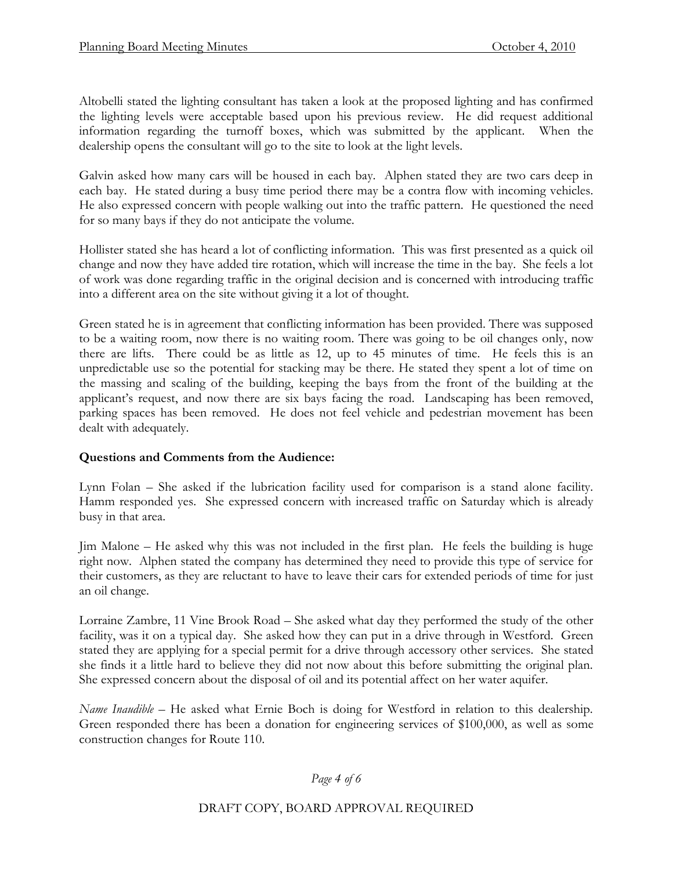Altobelli stated the lighting consultant has taken a look at the proposed lighting and has confirmed the lighting levels were acceptable based upon his previous review. He did request additional information regarding the turnoff boxes, which was submitted by the applicant. When the dealership opens the consultant will go to the site to look at the light levels.

Galvin asked how many cars will be housed in each bay. Alphen stated they are two cars deep in each bay. He stated during a busy time period there may be a contra flow with incoming vehicles. He also expressed concern with people walking out into the traffic pattern. He questioned the need for so many bays if they do not anticipate the volume.

Hollister stated she has heard a lot of conflicting information. This was first presented as a quick oil change and now they have added tire rotation, which will increase the time in the bay. She feels a lot of work was done regarding traffic in the original decision and is concerned with introducing traffic into a different area on the site without giving it a lot of thought.

Green stated he is in agreement that conflicting information has been provided. There was supposed to be a waiting room, now there is no waiting room. There was going to be oil changes only, now there are lifts. There could be as little as 12, up to 45 minutes of time. He feels this is an unpredictable use so the potential for stacking may be there. He stated they spent a lot of time on the massing and scaling of the building, keeping the bays from the front of the building at the applicant's request, and now there are six bays facing the road. Landscaping has been removed, parking spaces has been removed. He does not feel vehicle and pedestrian movement has been dealt with adequately.

# **Questions and Comments from the Audience:**

Lynn Folan – She asked if the lubrication facility used for comparison is a stand alone facility. Hamm responded yes. She expressed concern with increased traffic on Saturday which is already busy in that area.

Jim Malone – He asked why this was not included in the first plan. He feels the building is huge right now. Alphen stated the company has determined they need to provide this type of service for their customers, as they are reluctant to have to leave their cars for extended periods of time for just an oil change.

Lorraine Zambre, 11 Vine Brook Road – She asked what day they performed the study of the other facility, was it on a typical day. She asked how they can put in a drive through in Westford. Green stated they are applying for a special permit for a drive through accessory other services. She stated she finds it a little hard to believe they did not now about this before submitting the original plan. She expressed concern about the disposal of oil and its potential affect on her water aquifer.

*Name Inaudible –* He asked what Ernie Boch is doing for Westford in relation to this dealership. Green responded there has been a donation for engineering services of \$100,000, as well as some construction changes for Route 110.

#### *Page 4 of 6*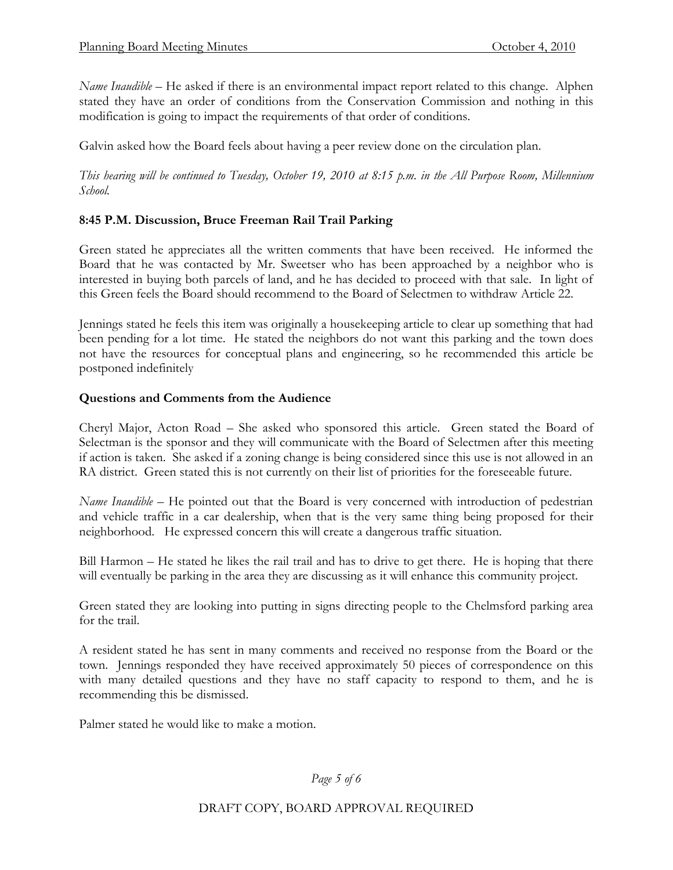*Name Inaudible* – He asked if there is an environmental impact report related to this change. Alphen stated they have an order of conditions from the Conservation Commission and nothing in this modification is going to impact the requirements of that order of conditions.

Galvin asked how the Board feels about having a peer review done on the circulation plan.

*This hearing will be continued to Tuesday, October 19, 2010 at 8:15 p.m. in the All Purpose Room, Millennium School.* 

## **8:45 P.M. Discussion, Bruce Freeman Rail Trail Parking**

Green stated he appreciates all the written comments that have been received. He informed the Board that he was contacted by Mr. Sweetser who has been approached by a neighbor who is interested in buying both parcels of land, and he has decided to proceed with that sale. In light of this Green feels the Board should recommend to the Board of Selectmen to withdraw Article 22.

Jennings stated he feels this item was originally a housekeeping article to clear up something that had been pending for a lot time. He stated the neighbors do not want this parking and the town does not have the resources for conceptual plans and engineering, so he recommended this article be postponed indefinitely

#### **Questions and Comments from the Audience**

Cheryl Major, Acton Road – She asked who sponsored this article. Green stated the Board of Selectman is the sponsor and they will communicate with the Board of Selectmen after this meeting if action is taken. She asked if a zoning change is being considered since this use is not allowed in an RA district. Green stated this is not currently on their list of priorities for the foreseeable future.

*Name Inaudible* – He pointed out that the Board is very concerned with introduction of pedestrian and vehicle traffic in a car dealership, when that is the very same thing being proposed for their neighborhood. He expressed concern this will create a dangerous traffic situation.

Bill Harmon – He stated he likes the rail trail and has to drive to get there. He is hoping that there will eventually be parking in the area they are discussing as it will enhance this community project.

Green stated they are looking into putting in signs directing people to the Chelmsford parking area for the trail.

A resident stated he has sent in many comments and received no response from the Board or the town. Jennings responded they have received approximately 50 pieces of correspondence on this with many detailed questions and they have no staff capacity to respond to them, and he is recommending this be dismissed.

Palmer stated he would like to make a motion.

*Page 5 of 6*